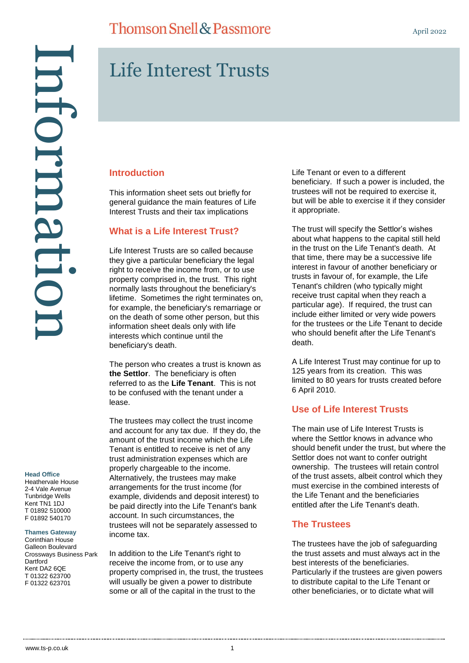#### **Head Office**

Heathervale House 2-4 Vale Avenue Tunbridge Wells Kent TN1 1DJ T 01892 510000 F 01892 540170

#### **Thames Gateway**

Corinthian House Galleon Boulevard Crossways Business Park **Dartford** Kent DA2 6QE T 01322 623700 F 01322 623701

## **Thomson Snell & Passmore**

# Life Interest Trusts

#### **Introduction**

This information sheet sets out briefly for general guidance the main features of Life Interest Trusts and their tax implications

#### **What is a Life Interest Trust?**

Life Interest Trusts are so called because they give a particular beneficiary the legal right to receive the income from, or to use property comprised in, the trust. This right normally lasts throughout the beneficiary's lifetime. Sometimes the right terminates on, for example, the beneficiary's remarriage or on the death of some other person, but this information sheet deals only with life interests which continue until the beneficiary's death.

The person who creates a trust is known as **the Settlor**. The beneficiary is often referred to as the **Life Tenant**. This is not to be confused with the tenant under a lease.

The trustees may collect the trust income and account for any tax due. If they do, the amount of the trust income which the Life Tenant is entitled to receive is net of any trust administration expenses which are properly chargeable to the income. Alternatively, the trustees may make arrangements for the trust income (for example, dividends and deposit interest) to be paid directly into the Life Tenant's bank account. In such circumstances, the trustees will not be separately assessed to income tax.

In addition to the Life Tenant's right to receive the income from, or to use any property comprised in, the trust, the trustees will usually be given a power to distribute some or all of the capital in the trust to the

Life Tenant or even to a different beneficiary. If such a power is included, the trustees will not be required to exercise it, but will be able to exercise it if they consider it appropriate.

The trust will specify the Settlor's wishes about what happens to the capital still held in the trust on the Life Tenant's death. At that time, there may be a successive life interest in favour of another beneficiary or trusts in favour of, for example, the Life Tenant's children (who typically might receive trust capital when they reach a particular age). If required, the trust can include either limited or very wide powers for the trustees or the Life Tenant to decide who should benefit after the Life Tenant's death.

A Life Interest Trust may continue for up to 125 years from its creation. This was limited to 80 years for trusts created before 6 April 2010.

#### **Use of Life Interest Trusts**

The main use of Life Interest Trusts is where the Settlor knows in advance who should benefit under the trust, but where the Settlor does not want to confer outright ownership. The trustees will retain control of the trust assets, albeit control which they must exercise in the combined interests of the Life Tenant and the beneficiaries entitled after the Life Tenant's death.

#### **The Trustees**

The trustees have the job of safeguarding the trust assets and must always act in the best interests of the beneficiaries. Particularly if the trustees are given powers to distribute capital to the Life Tenant or other beneficiaries, or to dictate what will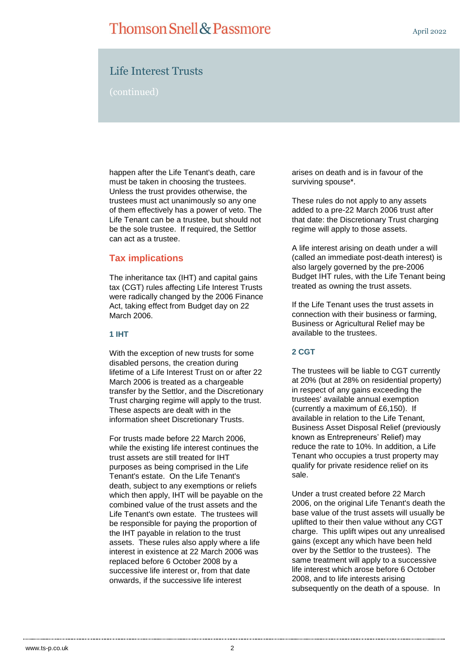## **Thomson Snell & Passmore**

### Life Interest Trusts

(continued)

happen after the Life Tenant's death, care must be taken in choosing the trustees. Unless the trust provides otherwise, the trustees must act unanimously so any one of them effectively has a power of veto. The Life Tenant can be a trustee, but should not be the sole trustee. If required, the Settlor can act as a trustee.

#### **Tax implications**

The inheritance tax (IHT) and capital gains tax (CGT) rules affecting Life Interest Trusts were radically changed by the 2006 Finance Act, taking effect from Budget day on 22 March 2006.

#### **1 IHT**

With the exception of new trusts for some disabled persons, the creation during lifetime of a Life Interest Trust on or after 22 March 2006 is treated as a chargeable transfer by the Settlor, and the Discretionary Trust charging regime will apply to the trust. These aspects are dealt with in the information sheet Discretionary Trusts.

For trusts made before 22 March 2006, while the existing life interest continues the trust assets are still treated for IHT purposes as being comprised in the Life Tenant's estate. On the Life Tenant's death, subject to any exemptions or reliefs which then apply, IHT will be payable on the combined value of the trust assets and the Life Tenant's own estate. The trustees will be responsible for paying the proportion of the IHT payable in relation to the trust assets. These rules also apply where a life interest in existence at 22 March 2006 was replaced before 6 October 2008 by a successive life interest or, from that date onwards, if the successive life interest

arises on death and is in favour of the surviving spouse\*.

These rules do not apply to any assets added to a pre-22 March 2006 trust after that date: the Discretionary Trust charging regime will apply to those assets.

A life interest arising on death under a will (called an immediate post-death interest) is also largely governed by the pre-2006 Budget IHT rules, with the Life Tenant being treated as owning the trust assets.

If the Life Tenant uses the trust assets in connection with their business or farming, Business or Agricultural Relief may be available to the trustees.

#### **2 CGT**

The trustees will be liable to CGT currently at 20% (but at 28% on residential property) in respect of any gains exceeding the trustees' available annual exemption (currently a maximum of £6,150). If available in relation to the Life Tenant, Business Asset Disposal Relief (previously known as Entrepreneurs' Relief) may reduce the rate to 10%. In addition, a Life Tenant who occupies a trust property may qualify for private residence relief on its sale.

Under a trust created before 22 March 2006, on the original Life Tenant's death the base value of the trust assets will usually be uplifted to their then value without any CGT charge. This uplift wipes out any unrealised gains (except any which have been held over by the Settlor to the trustees). The same treatment will apply to a successive life interest which arose before 6 October 2008, and to life interests arising subsequently on the death of a spouse. In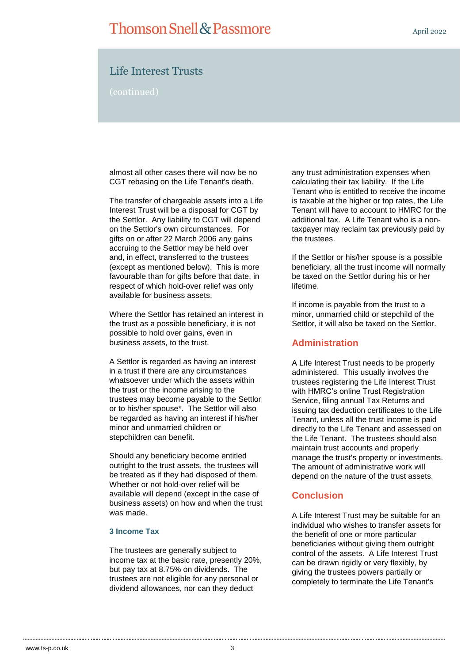## **Thomson Snell & Passmore**

April 2022

### Life Interest Trusts

(continued)

almost all other cases there will now be no CGT rebasing on the Life Tenant's death.

The transfer of chargeable assets into a Life Interest Trust will be a disposal for CGT by the Settlor. Any liability to CGT will depend on the Settlor's own circumstances. For gifts on or after 22 March 2006 any gains accruing to the Settlor may be held over and, in effect, transferred to the trustees (except as mentioned below). This is more favourable than for gifts before that date, in respect of which hold-over relief was only available for business assets.

Where the Settlor has retained an interest in the trust as a possible beneficiary, it is not possible to hold over gains, even in business assets, to the trust.

A Settlor is regarded as having an interest in a trust if there are any circumstances whatsoever under which the assets within the trust or the income arising to the trustees may become payable to the Settlor or to his/her spouse\*. The Settlor will also be regarded as having an interest if his/her minor and unmarried children or stepchildren can benefit.

Should any beneficiary become entitled outright to the trust assets, the trustees will be treated as if they had disposed of them. Whether or not hold-over relief will be available will depend (except in the case of business assets) on how and when the trust was made.

#### **3 Income Tax**

The trustees are generally subject to income tax at the basic rate, presently 20%, but pay tax at 8.75% on dividends. The trustees are not eligible for any personal or dividend allowances, nor can they deduct

any trust administration expenses when calculating their tax liability. If the Life Tenant who is entitled to receive the income is taxable at the higher or top rates, the Life Tenant will have to account to HMRC for the additional tax. A Life Tenant who is a nontaxpayer may reclaim tax previously paid by the trustees.

If the Settlor or his/her spouse is a possible beneficiary, all the trust income will normally be taxed on the Settlor during his or her lifetime.

If income is payable from the trust to a minor, unmarried child or stepchild of the Settlor, it will also be taxed on the Settlor.

#### **Administration**

A Life Interest Trust needs to be properly administered. This usually involves the trustees registering the Life Interest Trust with HMRC's online Trust Registration Service, filing annual Tax Returns and issuing tax deduction certificates to the Life Tenant, unless all the trust income is paid directly to the Life Tenant and assessed on the Life Tenant. The trustees should also maintain trust accounts and properly manage the trust's property or investments. The amount of administrative work will depend on the nature of the trust assets.

#### **Conclusion**

A Life Interest Trust may be suitable for an individual who wishes to transfer assets for the benefit of one or more particular beneficiaries without giving them outright control of the assets. A Life Interest Trust can be drawn rigidly or very flexibly, by giving the trustees powers partially or completely to terminate the Life Tenant's